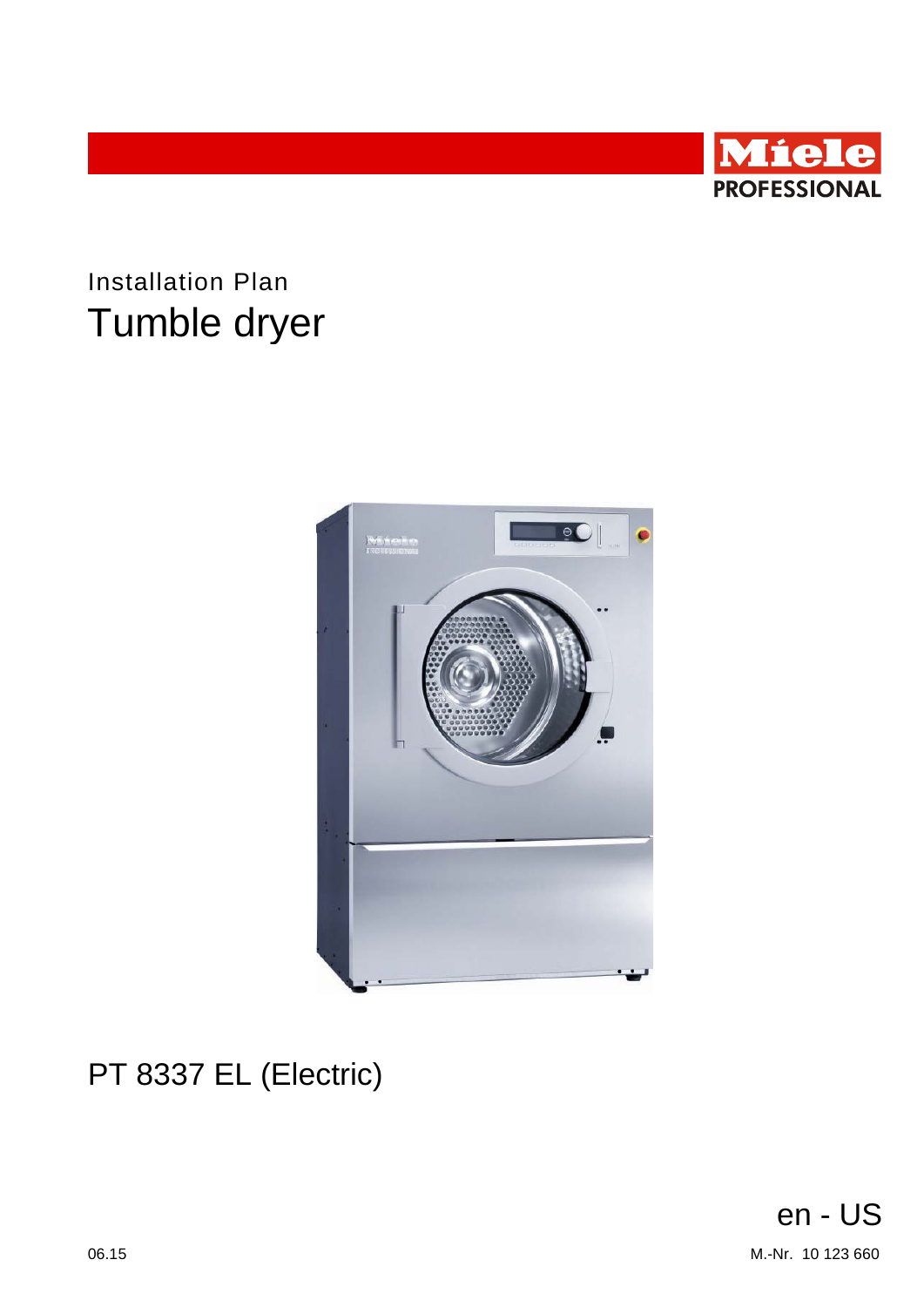

# **Installation Plan** Tumble dryer



# <span id="page-0-0"></span>PT 8337 EL (Electrically Heated)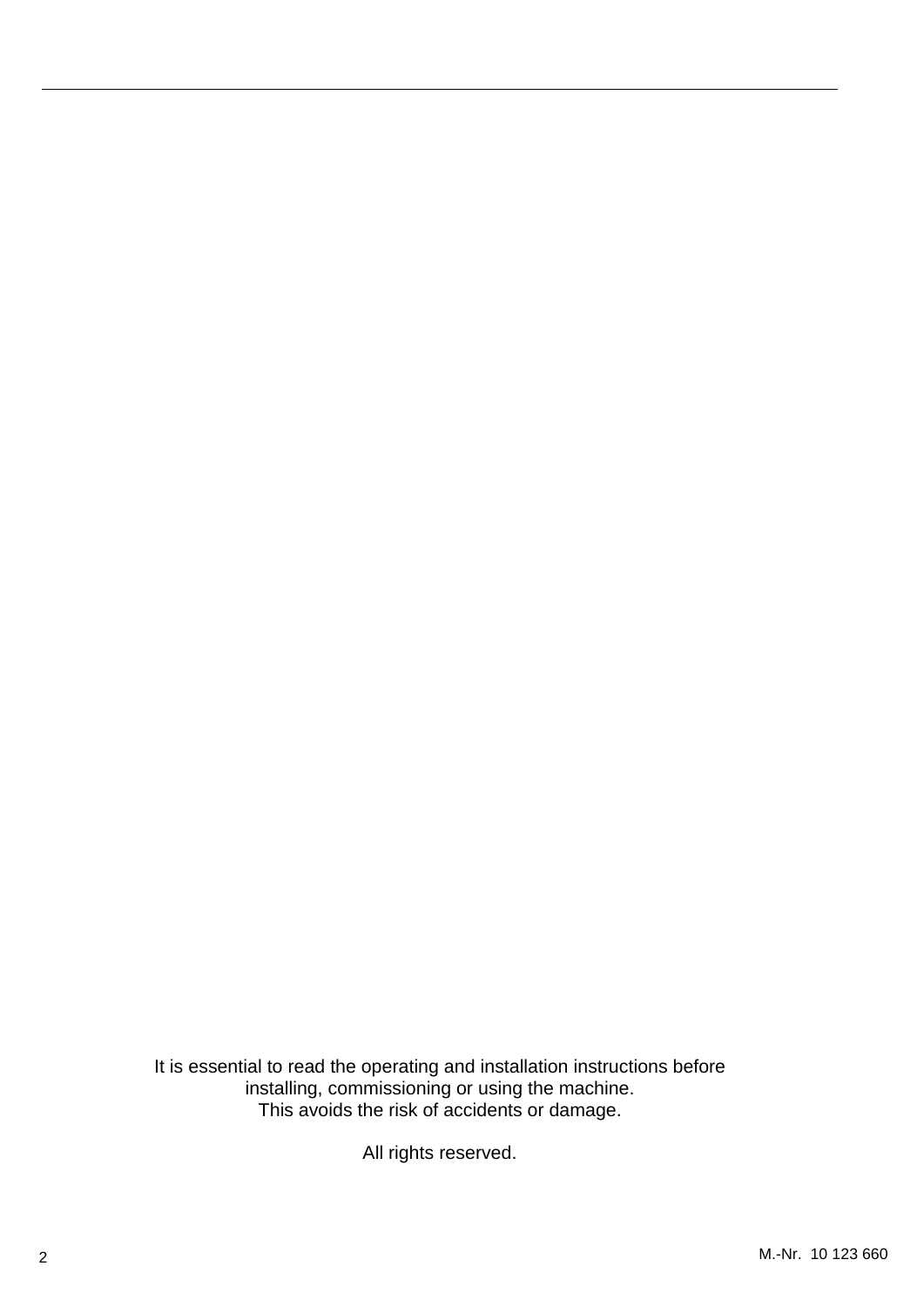#### **U.S.A.**

**Miele, Inc.**

**National Headquarters** 9 Independence Way

Princeton, NJ 08540

Phone: 800-991-9380 Fax: 609-419-4241

www.mieleusa.com

### **Technical Service & Support Nationwide**

Phone: 800-991-9380<br>Fax: 800-220-1348 Fax: 800-220-1348

proservice@mieleusa.com

It is essential to read the operating and installation instructions before installing, commissioning or using the machine. This avoids the risk of accidents or damage.

All rights reserved.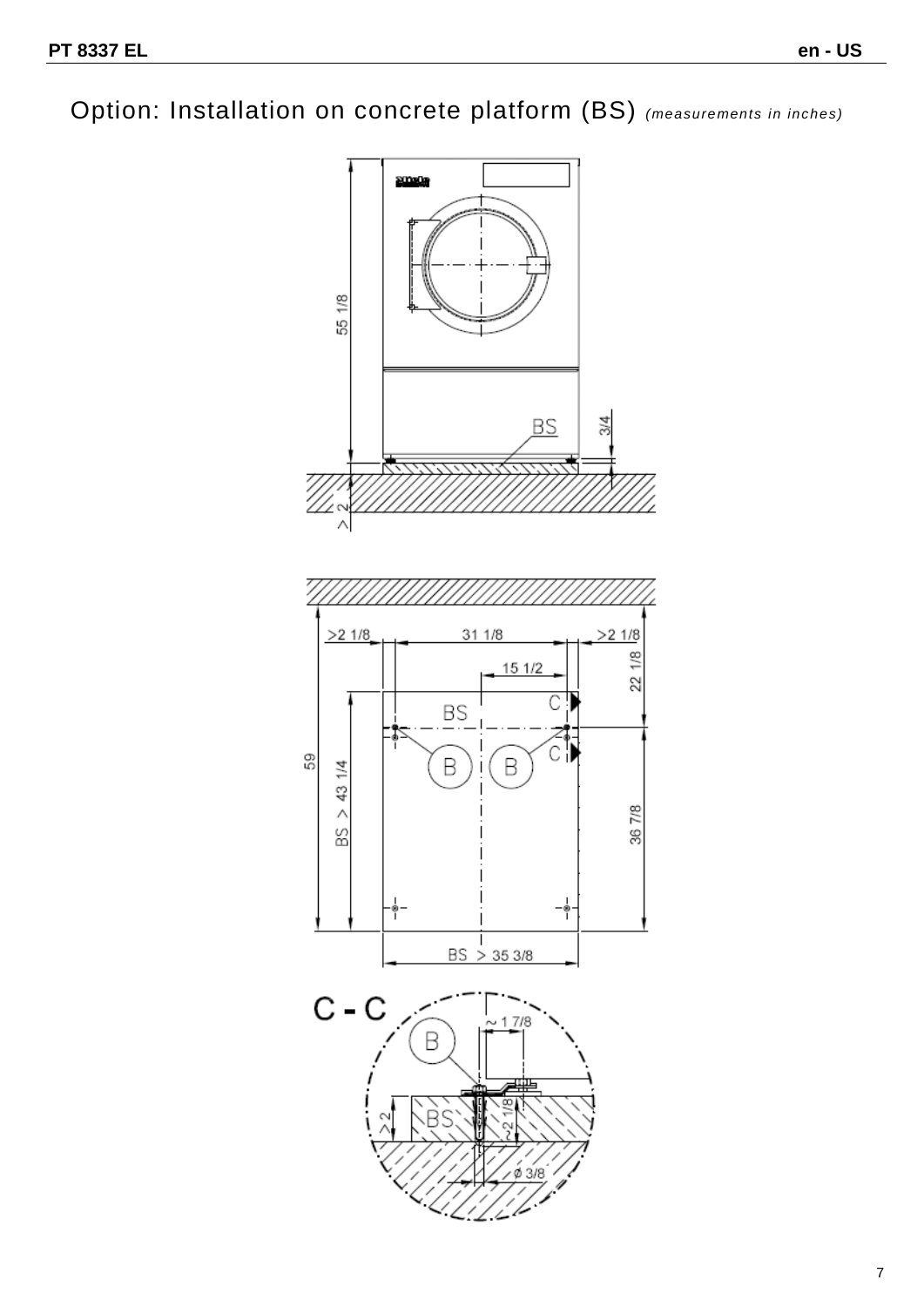Option: Installation on concrete platform (BS) *(measurements in inches)*

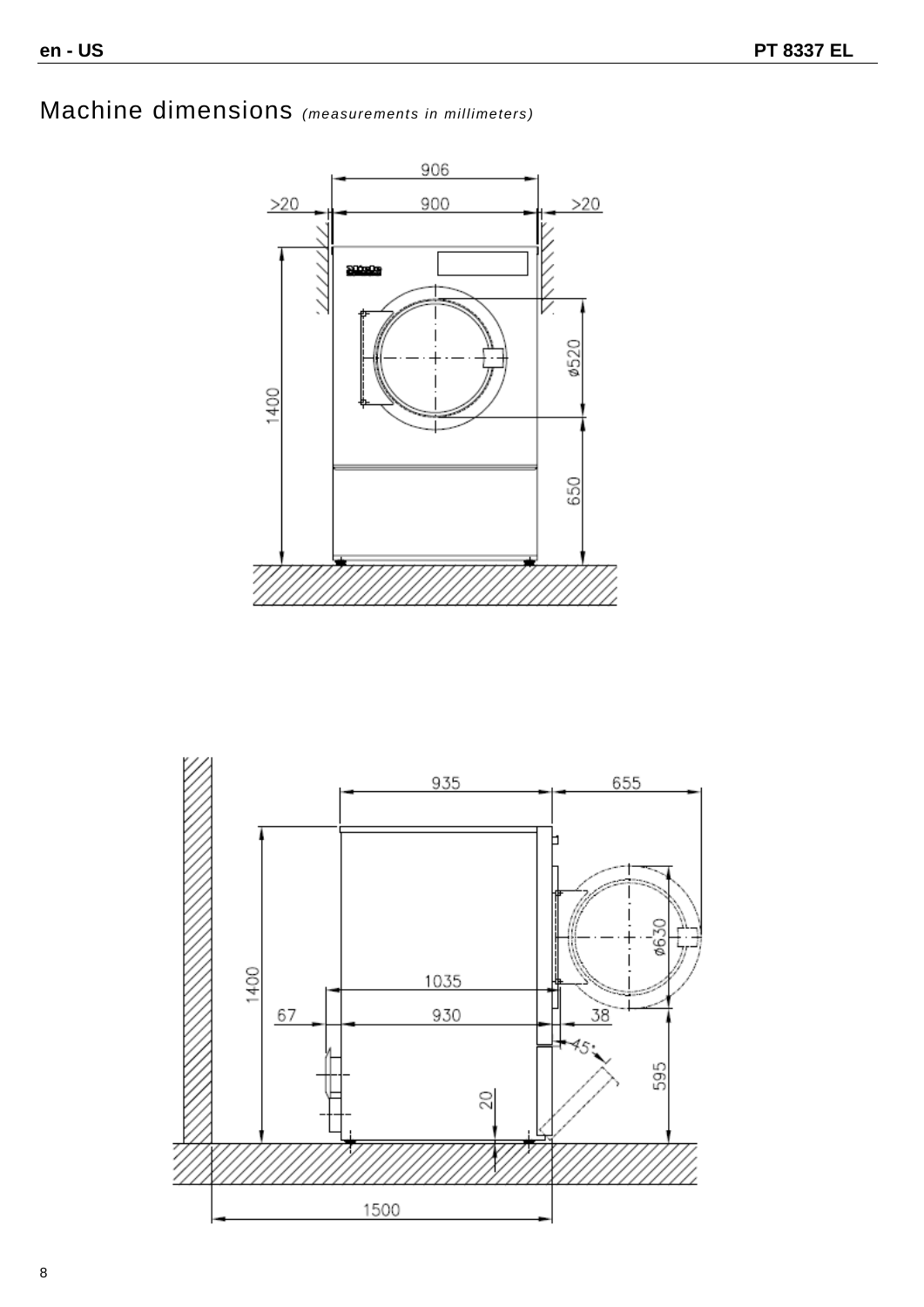## Machine dimensions *(measurements in millimeters)*



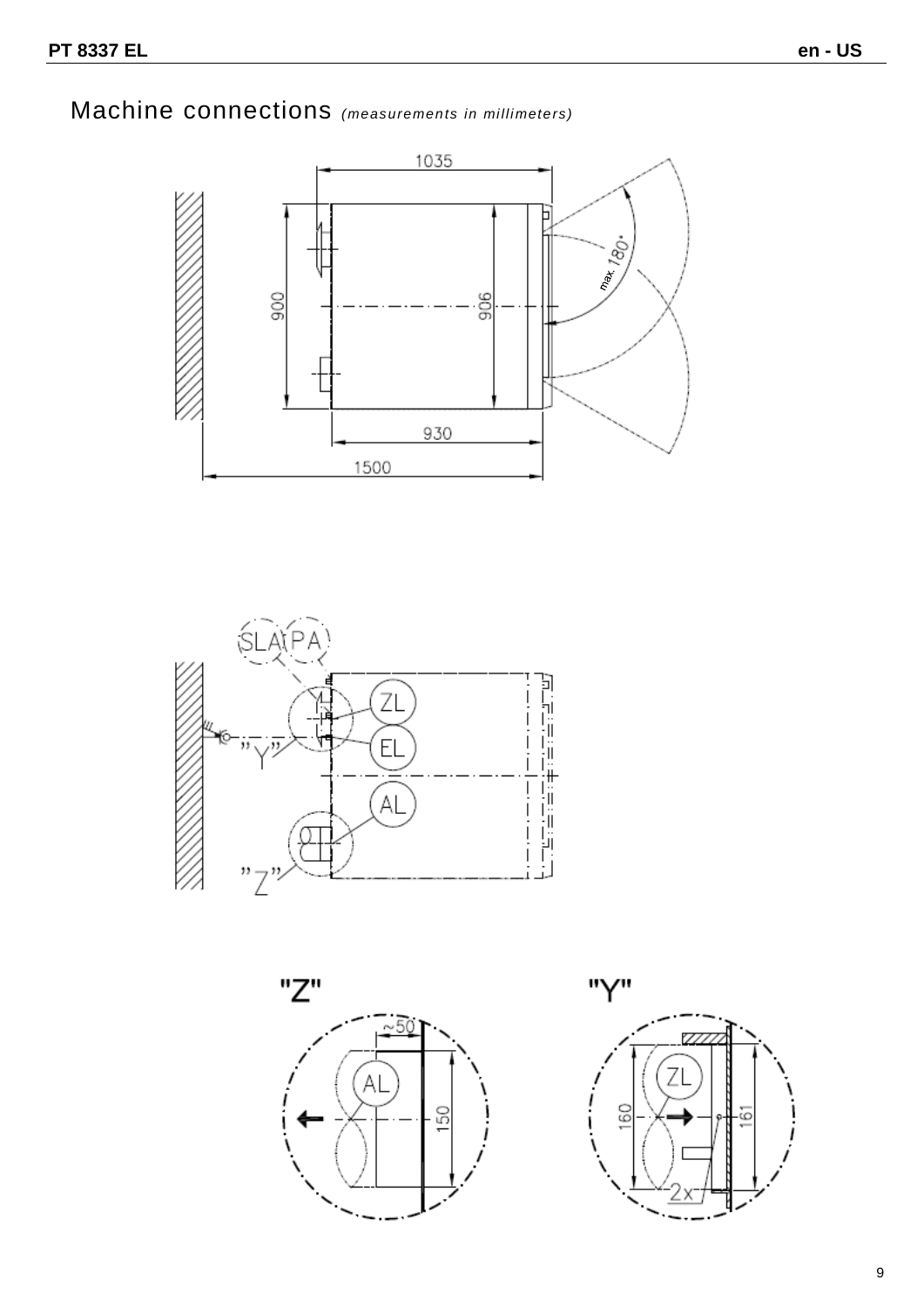### Machine connections *(measurements in millimeters)*







"Y" Z 160  $\overline{\omega}$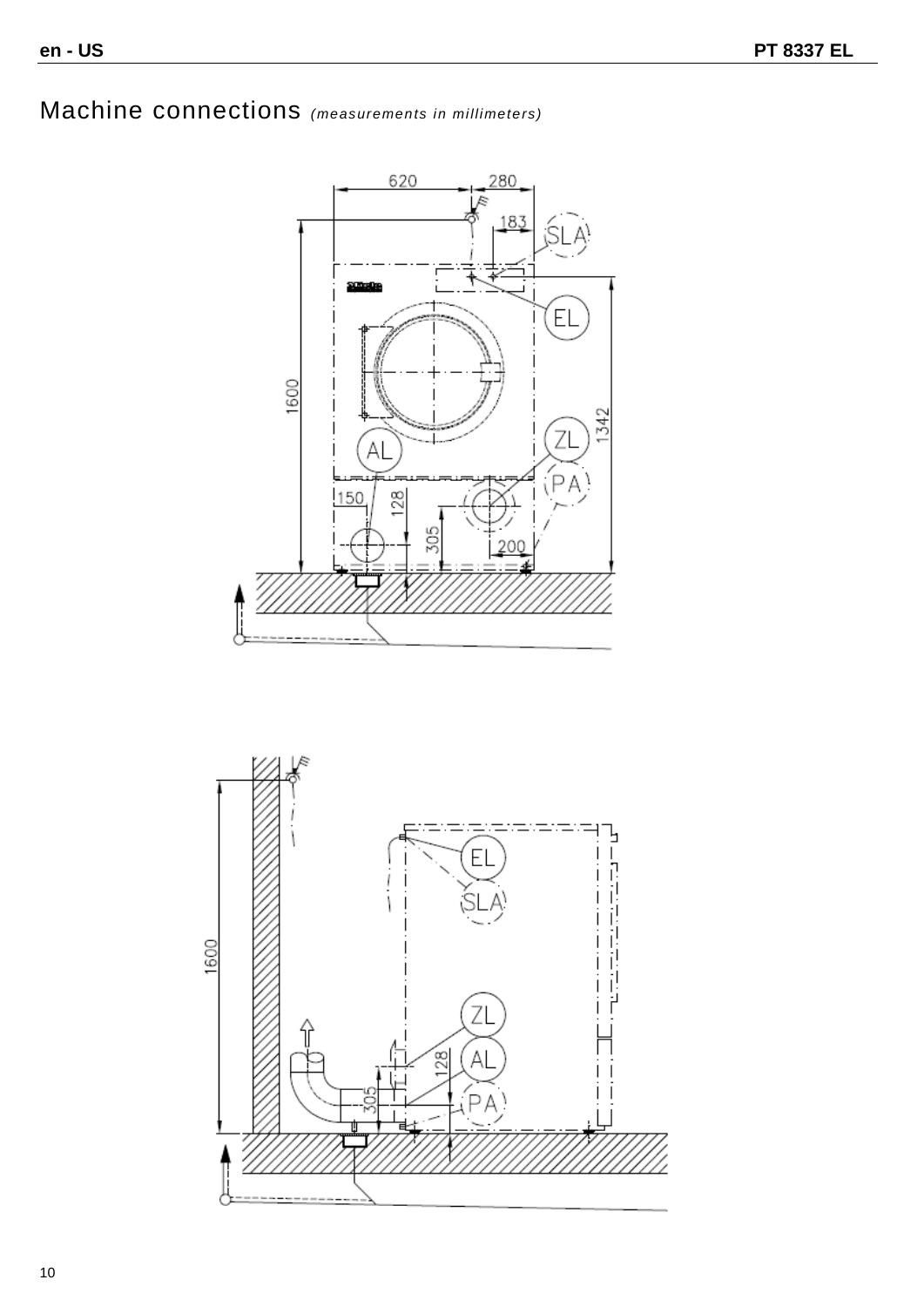## Machine connections *(measurements in millimeters)*



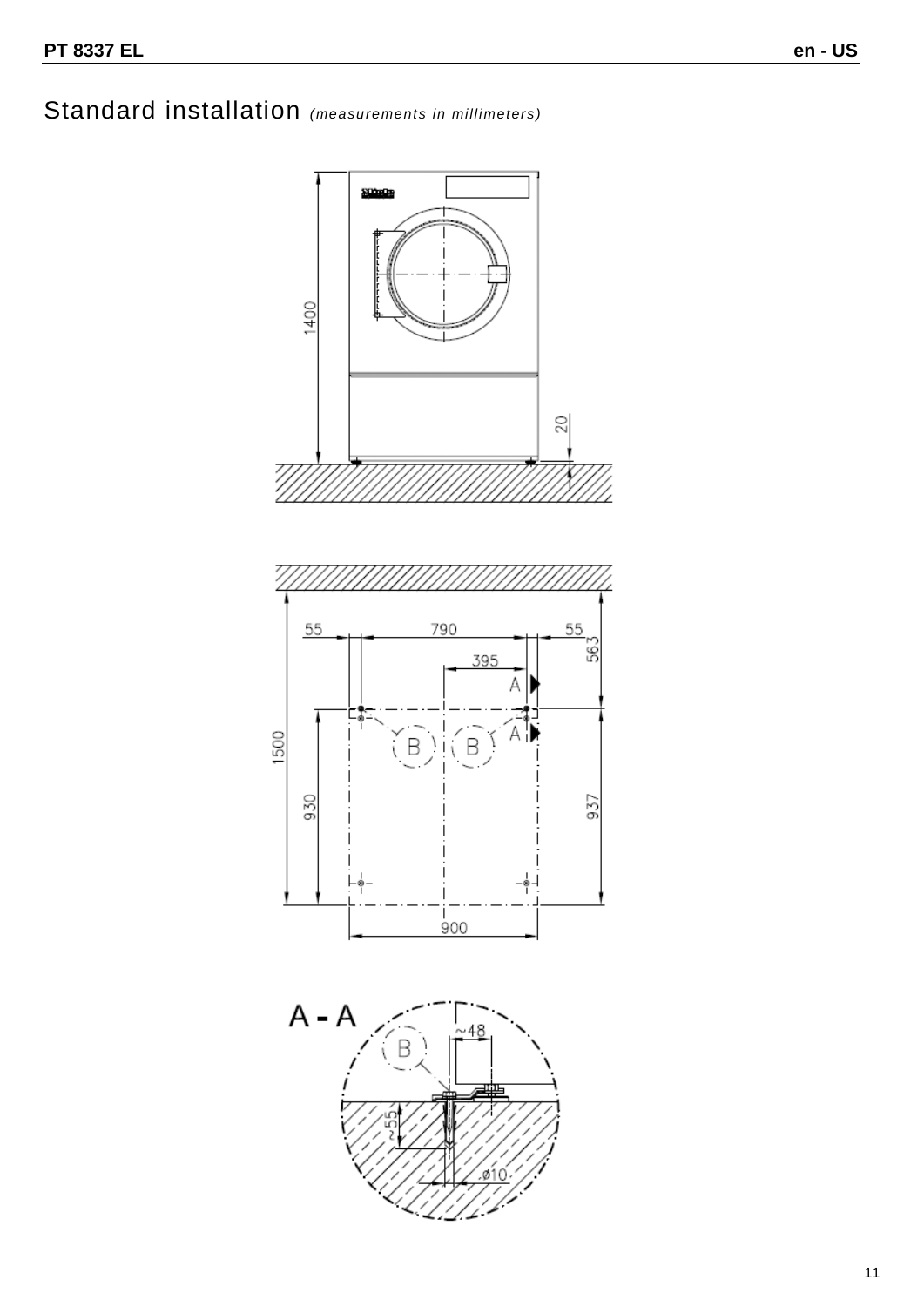### Standard installation *(measurements in millimeters)*

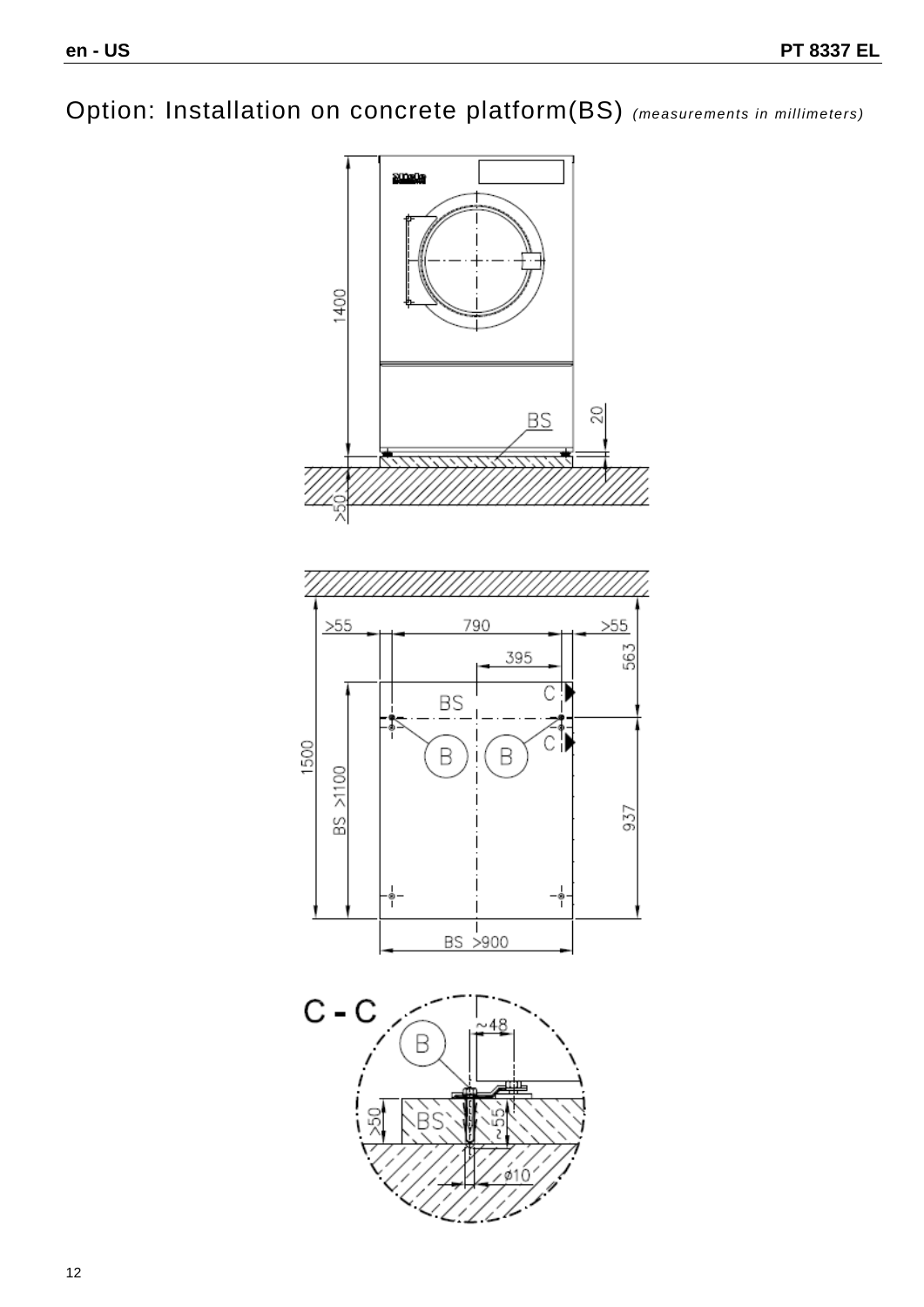Option: Installation on concrete platform (BS) *(measurements in millimeters)*

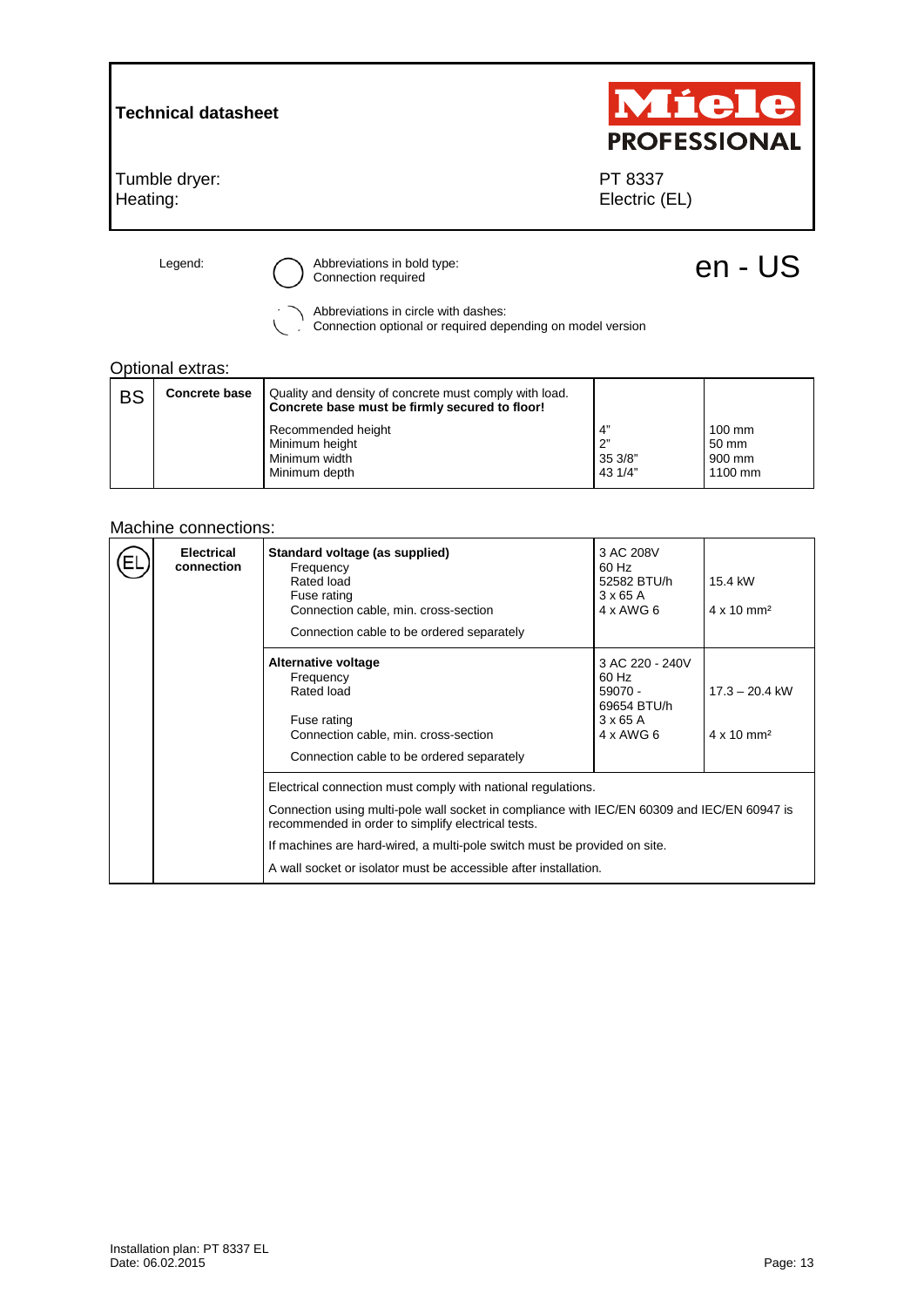#### **Technical datasheet**

Tumble dryer: Heating:



PT 8337 Electric (EL)

Legend:  $\bigcirc$  Abbreviations in bold type:<br>  $\bigcirc$  Connection required en and the connection required entity of the connection required

Abbreviations in circle with dashes: Connection optional or required depending on model version

#### Optional extras:

| <b>BS</b> | <b>Concrete base</b> | Quality and density of concrete must comply with load.<br>Concrete base must be firmly secured to floor! |                                |                                                |
|-----------|----------------------|----------------------------------------------------------------------------------------------------------|--------------------------------|------------------------------------------------|
|           |                      | Recommended height<br>Minimum height<br>Minimum width<br>Minimum depth                                   | 4"<br>2"<br>35 3/8"<br>43 1/4" | $100 \text{ mm}$<br>50 mm<br>900 mm<br>1100 mm |

#### Machine connections:

| <b>Electrical</b><br>connection | <b>Standard voltage</b><br>Frequency<br>Rated load<br>Fuse rating<br>Connection cable, min. cross-section<br>Connection cable to be ordered separately                                                                                                                                                                                                             | 3 AC 220 - 240V<br>60 Hz<br>$59070 -$<br>69654 BTU/h<br>$3 \times 65$ A<br>4 x AWG 6 | $17.3 - 20.4$ kW<br>$4 \times 10$ mm <sup>2</sup> |
|---------------------------------|--------------------------------------------------------------------------------------------------------------------------------------------------------------------------------------------------------------------------------------------------------------------------------------------------------------------------------------------------------------------|--------------------------------------------------------------------------------------|---------------------------------------------------|
|                                 | Electrical connection convertible to<br>Frequency<br>Rated load<br>Fuse rating<br>Connection cable, min. cross-section<br>Connection cable to be ordered separately                                                                                                                                                                                                | 3 AC 208V<br>60 Hz<br>52582 BTU/h<br>$3 \times 65$ A<br>$4 \times$ AWG 6             | 15.4 kW<br>$4 \times 10$ mm <sup>2</sup>          |
|                                 | Electrical connection must comply with national regulations.<br>Connection using multi-pole wall socket in compliance with IEC/EN 60309 and IEC/EN 60947 is<br>recommended in order to simplify electrical tests.<br>If machines are hard-wired, a multi-pole switch must be provided on site.<br>A wall socket or isolator must be accessible after installation. |                                                                                      |                                                   |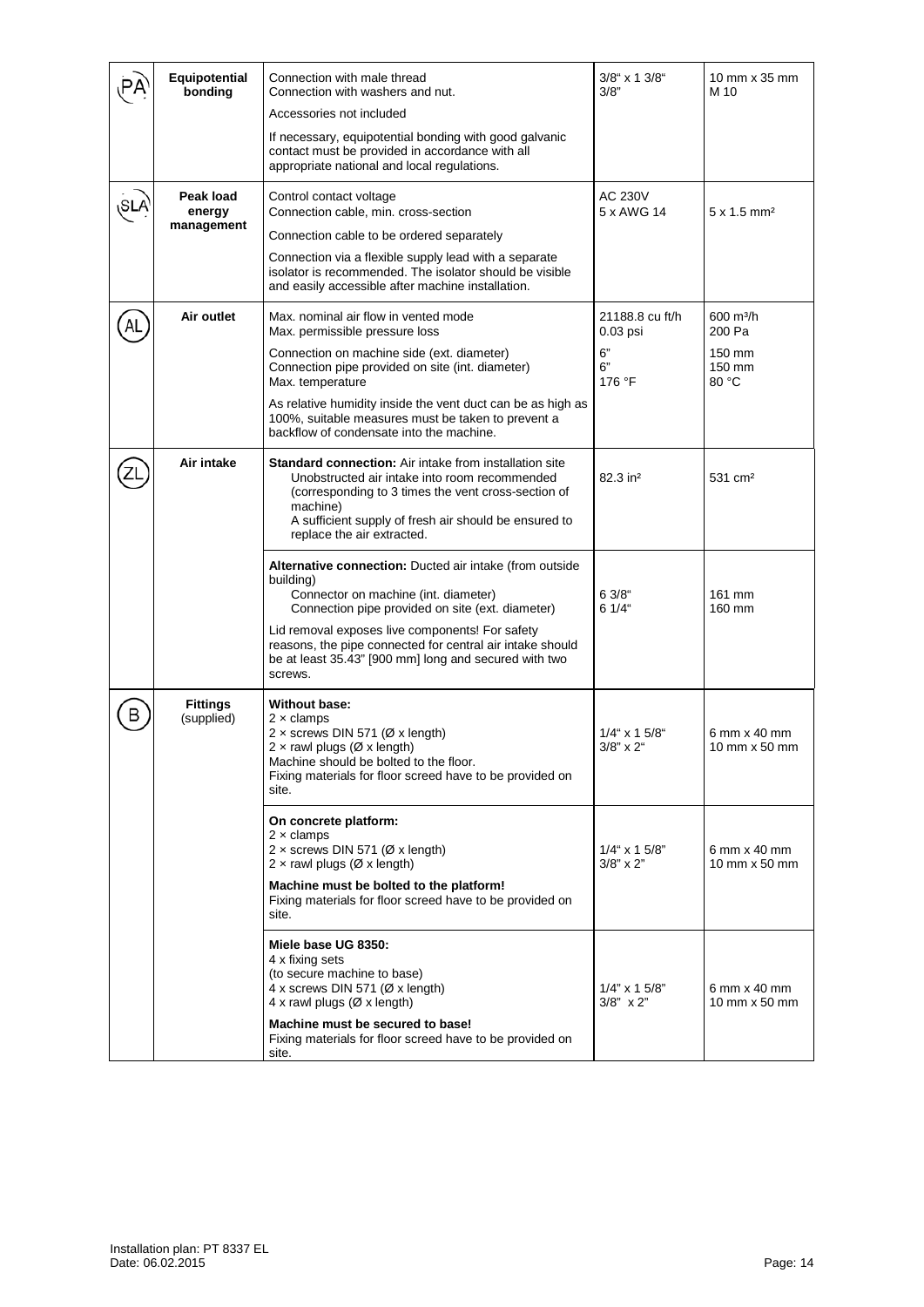|    | Equipotential<br>bonding          | Connection with male thread<br>Connection with washers and nut.                                                                                                                                                                                                          | $3/8$ " x 1 $3/8$ "<br>3/8"          | 10 mm x 35 mm<br>M 10                  |
|----|-----------------------------------|--------------------------------------------------------------------------------------------------------------------------------------------------------------------------------------------------------------------------------------------------------------------------|--------------------------------------|----------------------------------------|
|    |                                   | Accessories not included                                                                                                                                                                                                                                                 |                                      |                                        |
|    |                                   | If necessary, equipotential bonding with good galvanic<br>contact must be provided in accordance with all<br>appropriate national and local regulations.                                                                                                                 |                                      |                                        |
|    | Peak load<br>energy<br>management | Control contact voltage<br>Connection cable, min. cross-section                                                                                                                                                                                                          | <b>AC 230V</b><br>5 x AWG 14         | $5 \times 1.5$ mm <sup>2</sup>         |
|    |                                   | Connection cable to be ordered separately<br>Connection via a flexible supply lead with a separate                                                                                                                                                                       |                                      |                                        |
|    |                                   | isolator is recommended. The isolator should be visible<br>and easily accessible after machine installation.                                                                                                                                                             |                                      |                                        |
| AL | Air outlet                        | Max. nominal air flow in vented mode<br>Max. permissible pressure loss                                                                                                                                                                                                   | 21188.8 cu ft/h<br>$0.03$ psi        | $600 \; \text{m}^3/\text{h}$<br>200 Pa |
|    |                                   | Connection on machine side (ext. diameter)<br>Connection pipe provided on site (int. diameter)<br>Max. temperature                                                                                                                                                       | 6"<br>6"<br>176 °F                   | 150 mm<br>150 mm<br>80 °C              |
|    |                                   | As relative humidity inside the vent duct can be as high as<br>100%, suitable measures must be taken to prevent a<br>backflow of condensate into the machine.                                                                                                            |                                      |                                        |
|    | Air intake                        | <b>Standard connection:</b> Air intake from installation site<br>Unobstructed air intake into room recommended<br>(corresponding to 3 times the vent cross-section of<br>machine)<br>A sufficient supply of fresh air should be ensured to<br>replace the air extracted. | 82.3 in <sup>2</sup>                 | 531 cm <sup>2</sup>                    |
|    |                                   | <b>Alternative connection:</b> Ducted air intake (from outside<br>building)<br>Connector on machine (int. diameter)<br>Connection pipe provided on site (ext. diameter)                                                                                                  | 63/8"<br>6 1/4"                      | 161 mm<br>160 mm                       |
|    |                                   | Lid removal exposes live components! For safety<br>reasons, the pipe connected for central air intake should<br>be at least 35.43" [900 mm] long and secured with two<br>screws.                                                                                         |                                      |                                        |
| в  | <b>Fittings</b><br>(supplied)     | Without base:<br>$2 \times$ clamps<br>$2 \times$ screws DIN 571 ( $\varnothing$ x length)<br>$2 \times$ rawl plugs (Ø x length)<br>Machine should be bolted to the floor.<br>Fixing materials for floor screed have to be provided on<br>site.                           | $1/4$ " x 1 5/8"<br>$3/8" \times 2"$ | 6 mm x 40 mm<br>10 mm x 50 mm          |
|    |                                   | On concrete platform:<br>$2 \times$ clamps<br>$2 \times$ screws DIN 571 ( $\varnothing$ x length)<br>$2 \times$ rawl plugs (Ø x length)                                                                                                                                  | $1/4$ " x 1 5/8"<br>$3/8" \times 2"$ | 6 mm x 40 mm<br>10 mm x 50 mm          |
|    |                                   | Machine must be bolted to the platform!<br>Fixing materials for floor screed have to be provided on<br>site.                                                                                                                                                             |                                      |                                        |
|    |                                   | Miele base UG 8350:<br>4 x fixing sets<br>(to secure machine to base)<br>4 x screws DIN 571 ( $\varnothing$ x length)<br>4 x rawl plugs (Ø x length)<br>Machine must be secured to base!<br>Fixing materials for floor screed have to be provided on<br>site.            | $1/4$ " x 1 5/8"<br>$3/8" \times 2"$ | $6$ mm $\times$ 40 mm<br>10 mm x 50 mm |